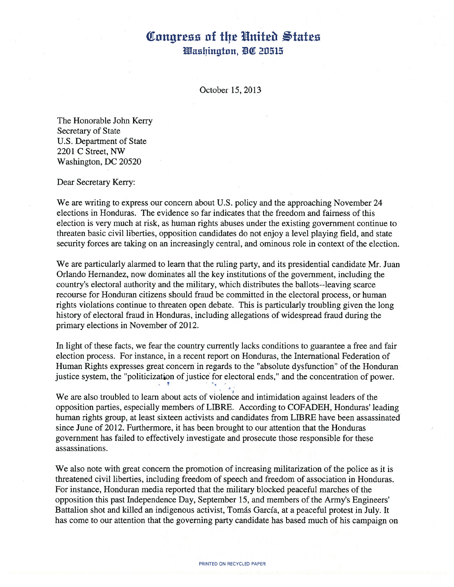## Congress of the United States Washington, DC 20515

October 15, 2013

The Honorable John Kerry Secretary of State U.S. Department of State <sup>2201</sup> <sup>C</sup> Street, NW Washington, DC 20520

Dear Secretary Kerry:

We are writing to express our concern about U.S. policy and the approaching November 24 elections in Honduras. The evidence so far indicates that the freedom and fairness of this election is very much at risk, as human rights abuses under the existing government continue to threaten basic civil liberties, opposition candidates do not enjoy <sup>a</sup> level playing field, and state security forces are taking on an increasingly central, and ominous role in context of the election.

We are particularly alarmed to learn that the ruling party, and its presidential candidate Mr. Juan Orlando Hernandez, now dominates all the key institutions of the government, including the country's electoral authority and the military, which distributes the ballots--leaving scarce recourse for Honduran citizens should fraud be committed in the electoral process, or human rights violations continue to threaten open debate. This is particularly troubling given the long history of electoral fraud in Honduras, including allegations of widespread fraud during the primary elections in November of 2012.

In light of these facts, we fear the country currently lacks conditions to guarantee <sup>a</sup> free and fair election process. For instance, in <sup>a</sup> recent report on Honduras, the International Federation of Human Rights expresses great concern in regards to the "absolute dysfunction" of the Honduran justice system, the "politicization of justice for electoral ends," and the concentration of power.

We are also troubled to learn about acts of violence and intimidation against leaders of the opposition parties, especially members of LIBRE. According to COFADEH, Honduras' leading human rights group, at least sixteen activists and candidates from LIBRE have been assassinated since June of 2012. Furthermore, it has been brought to our attention that the Honduras government has failed to effectively investigate and prosecute those responsible for these assassinations.

We also note with great concern the promotion of increasing militarization of the police as it is threatened civil liberties, including freedom of speech and freedom of association in Honduras. For instance, Honduran media reported that the military blocked peaceful marches of the opposition this past Independence Day, September 15, and members of the Army's Engineers' Battalion shot and killed an indigenous activist, Tomás Garcia, at <sup>a</sup> peaceful protest in July. It has come to our attention that the governing party candidate has based much of his campaign on